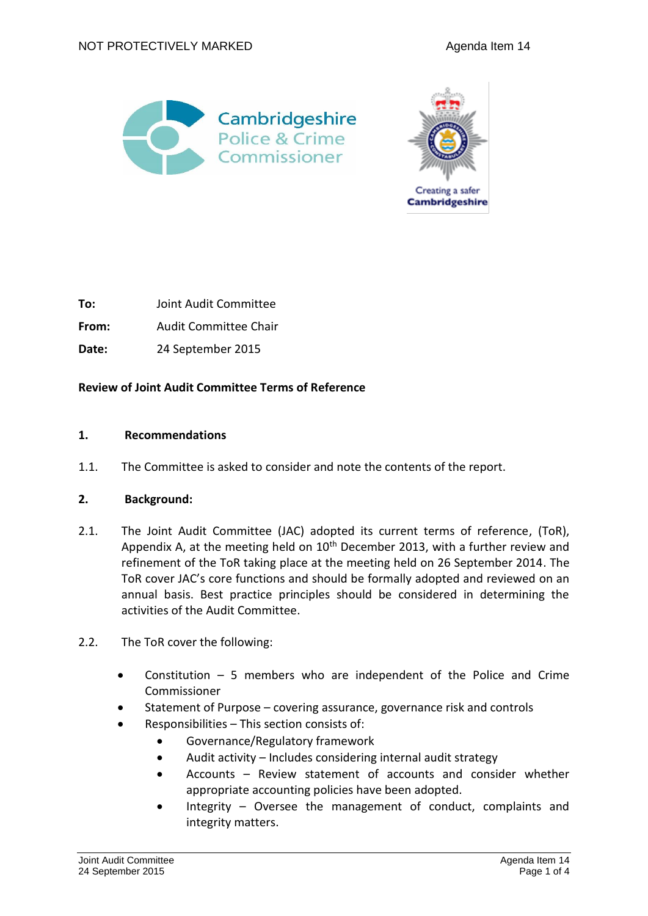



**To:** Joint Audit Committee

**From:** Audit Committee Chair

**Date:** 24 September 2015

**Review of Joint Audit Committee Terms of Reference**

### **1. Recommendations**

1.1. The Committee is asked to consider and note the contents of the report.

### **2. Background:**

- 2.1. The Joint Audit Committee (JAC) adopted its current terms of reference, (ToR), Appendix A, at the meeting held on  $10<sup>th</sup>$  December 2013, with a further review and refinement of the ToR taking place at the meeting held on 26 September 2014. The ToR cover JAC's core functions and should be formally adopted and reviewed on an annual basis. Best practice principles should be considered in determining the activities of the Audit Committee.
- 2.2. The ToR cover the following:
	- Constitution 5 members who are independent of the Police and Crime Commissioner
	- Statement of Purpose covering assurance, governance risk and controls
	- Responsibilities This section consists of:
		- Governance/Regulatory framework
		- Audit activity Includes considering internal audit strategy
		- Accounts Review statement of accounts and consider whether appropriate accounting policies have been adopted.
		- Integrity Oversee the management of conduct, complaints and integrity matters.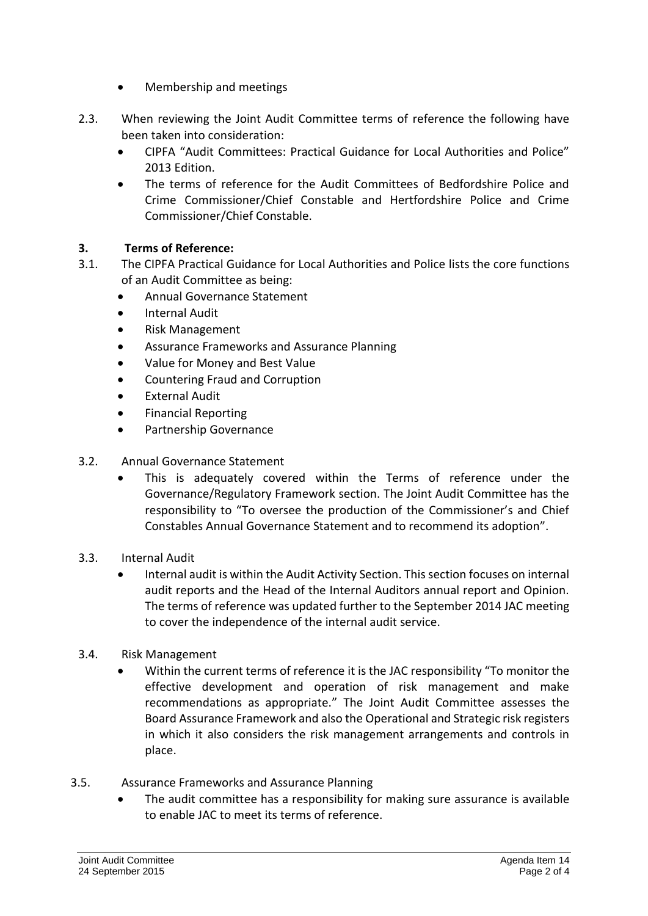- Membership and meetings
- 2.3. When reviewing the Joint Audit Committee terms of reference the following have been taken into consideration:
	- CIPFA "Audit Committees: Practical Guidance for Local Authorities and Police" 2013 Edition.
	- The terms of reference for the Audit Committees of Bedfordshire Police and Crime Commissioner/Chief Constable and Hertfordshire Police and Crime Commissioner/Chief Constable.

## **3. Terms of Reference:**

- 3.1. The CIPFA Practical Guidance for Local Authorities and Police lists the core functions of an Audit Committee as being:
	- Annual Governance Statement
	- **•** Internal Audit
	- Risk Management
	- Assurance Frameworks and Assurance Planning
	- Value for Money and Best Value
	- Countering Fraud and Corruption
	- External Audit
	- **•** Financial Reporting
	- Partnership Governance

## 3.2. Annual Governance Statement

- This is adequately covered within the Terms of reference under the Governance/Regulatory Framework section. The Joint Audit Committee has the responsibility to "To oversee the production of the Commissioner's and Chief Constables Annual Governance Statement and to recommend its adoption".
- 3.3. Internal Audit
	- Internal audit is within the Audit Activity Section. This section focuses on internal audit reports and the Head of the Internal Auditors annual report and Opinion. The terms of reference was updated further to the September 2014 JAC meeting to cover the independence of the internal audit service.
- 3.4. Risk Management
	- Within the current terms of reference it is the JAC responsibility "To monitor the effective development and operation of risk management and make recommendations as appropriate." The Joint Audit Committee assesses the Board Assurance Framework and also the Operational and Strategic risk registers in which it also considers the risk management arrangements and controls in place.
- 3.5. Assurance Frameworks and Assurance Planning
	- The audit committee has a responsibility for making sure assurance is available to enable JAC to meet its terms of reference.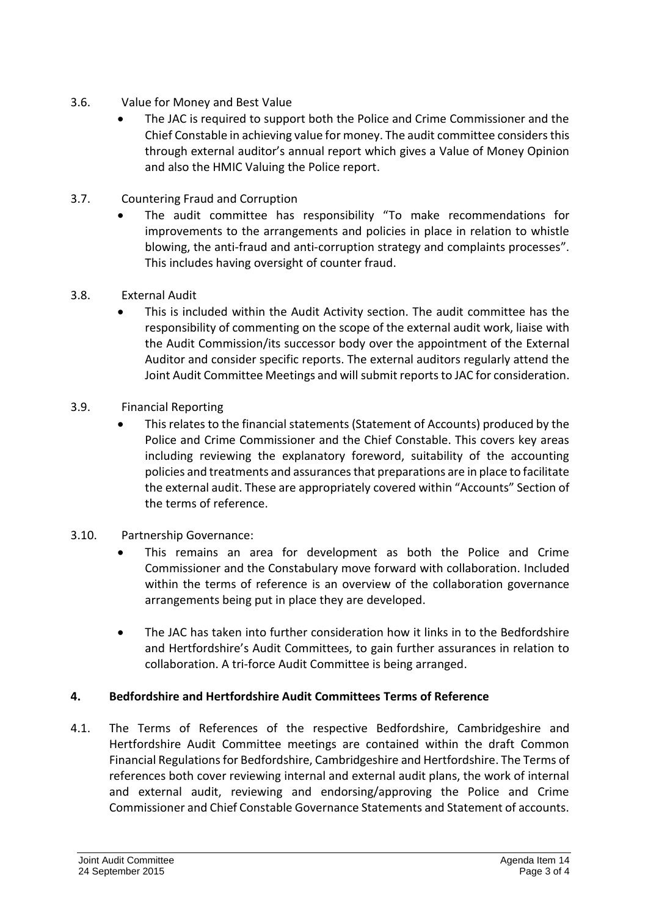- 3.6. Value for Money and Best Value
	- The JAC is required to support both the Police and Crime Commissioner and the Chief Constable in achieving value for money. The audit committee considers this through external auditor's annual report which gives a Value of Money Opinion and also the HMIC Valuing the Police report.
- 3.7. Countering Fraud and Corruption
	- The audit committee has responsibility "To make recommendations for improvements to the arrangements and policies in place in relation to whistle blowing, the anti-fraud and anti-corruption strategy and complaints processes". This includes having oversight of counter fraud.
- 3.8. External Audit
	- This is included within the Audit Activity section. The audit committee has the responsibility of commenting on the scope of the external audit work, liaise with the Audit Commission/its successor body over the appointment of the External Auditor and consider specific reports. The external auditors regularly attend the Joint Audit Committee Meetings and will submit reportsto JAC for consideration.
- 3.9. Financial Reporting
	- This relates to the financial statements (Statement of Accounts) produced by the Police and Crime Commissioner and the Chief Constable. This covers key areas including reviewing the explanatory foreword, suitability of the accounting policies and treatments and assurances that preparations are in place to facilitate the external audit. These are appropriately covered within "Accounts" Section of the terms of reference.
- 3.10. Partnership Governance:
	- This remains an area for development as both the Police and Crime Commissioner and the Constabulary move forward with collaboration. Included within the terms of reference is an overview of the collaboration governance arrangements being put in place they are developed.
	- The JAC has taken into further consideration how it links in to the Bedfordshire and Hertfordshire's Audit Committees, to gain further assurances in relation to collaboration. A tri-force Audit Committee is being arranged.

# **4. Bedfordshire and Hertfordshire Audit Committees Terms of Reference**

4.1. The Terms of References of the respective Bedfordshire, Cambridgeshire and Hertfordshire Audit Committee meetings are contained within the draft Common Financial Regulations for Bedfordshire, Cambridgeshire and Hertfordshire. The Terms of references both cover reviewing internal and external audit plans, the work of internal and external audit, reviewing and endorsing/approving the Police and Crime Commissioner and Chief Constable Governance Statements and Statement of accounts.